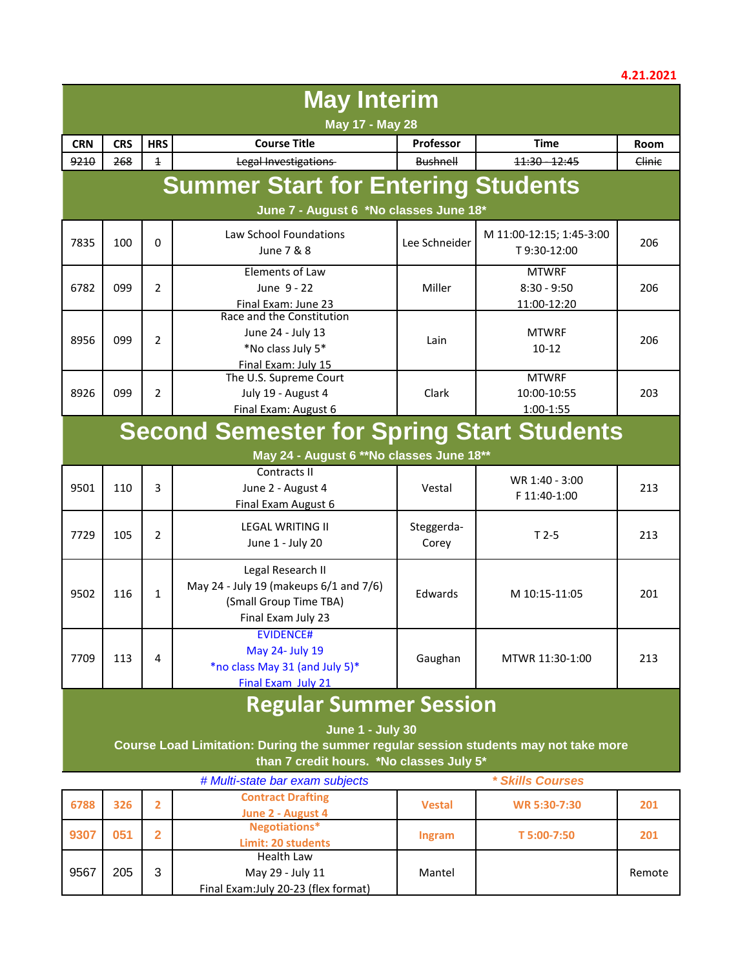|                                                                                                                 |                                                                   |                |                                                                                                             |                     |                                              | 7.41.4941 |  |  |
|-----------------------------------------------------------------------------------------------------------------|-------------------------------------------------------------------|----------------|-------------------------------------------------------------------------------------------------------------|---------------------|----------------------------------------------|-----------|--|--|
| <b>May Interim</b>                                                                                              |                                                                   |                |                                                                                                             |                     |                                              |           |  |  |
| May 17 - May 28                                                                                                 |                                                                   |                |                                                                                                             |                     |                                              |           |  |  |
| <b>CRN</b>                                                                                                      | <b>CRS</b>                                                        | <b>HRS</b>     | <b>Course Title</b>                                                                                         | Professor           | <b>Time</b>                                  | Room      |  |  |
| 9210                                                                                                            | 268                                                               | $\overline{1}$ | Legal Investigations                                                                                        | <b>Bushnell</b>     | 11:30 - 12:45                                | Clinic    |  |  |
|                                                                                                                 | <b>Summer Start for Entering Students</b>                         |                |                                                                                                             |                     |                                              |           |  |  |
|                                                                                                                 |                                                                   |                | June 7 - August 6 *No classes June 18*                                                                      |                     |                                              |           |  |  |
| 7835                                                                                                            | 100                                                               | 0              | Law School Foundations<br>June 7 & 8                                                                        | Lee Schneider       | M 11:00-12:15; 1:45-3:00<br>T9:30-12:00      | 206       |  |  |
| 6782                                                                                                            | 099                                                               | $\overline{2}$ | Elements of Law<br>June 9 - 22<br>Final Exam: June 23                                                       | Miller              | <b>MTWRF</b><br>$8:30 - 9:50$<br>11:00-12:20 | 206       |  |  |
| 8956                                                                                                            | 099                                                               | $\overline{2}$ | Race and the Constitution<br>June 24 - July 13<br>*No class July 5*<br>Final Exam: July 15                  | Lain                | <b>MTWRF</b><br>$10 - 12$                    | 206       |  |  |
| 8926                                                                                                            | 099                                                               | $\overline{2}$ | The U.S. Supreme Court<br>July 19 - August 4<br>Final Exam: August 6                                        | Clark               | <b>MTWRF</b><br>10:00-10:55<br>1:00-1:55     | 203       |  |  |
|                                                                                                                 |                                                                   |                | <b>Second Semester for Spring Start Students</b>                                                            |                     |                                              |           |  |  |
|                                                                                                                 |                                                                   |                |                                                                                                             |                     |                                              |           |  |  |
|                                                                                                                 |                                                                   |                | May 24 - August 6 ** No classes June 18**                                                                   |                     |                                              |           |  |  |
| 9501                                                                                                            | 110                                                               | 3              | Contracts II<br>June 2 - August 4<br>Final Exam August 6                                                    | Vestal              | WR 1:40 - 3:00<br>F 11:40-1:00               | 213       |  |  |
| 7729                                                                                                            | 105                                                               | 2              | <b>LEGAL WRITING II</b><br>June 1 - July 20                                                                 | Steggerda-<br>Corey | $T2-5$                                       | 213       |  |  |
| 9502                                                                                                            | 116                                                               | $\mathbf{1}$   | Legal Research II<br>May 24 - July 19 (makeups 6/1 and 7/6)<br>(Small Group Time TBA)<br>Final Exam July 23 | Edwards             | M 10:15-11:05                                | 201       |  |  |
| 7709                                                                                                            | 113                                                               | 4              | <b>EVIDENCE#</b><br>May 24- July 19<br>*no class May 31 (and July 5)*<br>Final Exam July 21                 | Gaughan             | MTWR 11:30-1:00                              | 213       |  |  |
|                                                                                                                 | <b>Regular Summer Session</b>                                     |                |                                                                                                             |                     |                                              |           |  |  |
|                                                                                                                 |                                                                   |                |                                                                                                             |                     |                                              |           |  |  |
| <b>June 1 - July 30</b><br>Course Load Limitation: During the summer regular session students may not take more |                                                                   |                |                                                                                                             |                     |                                              |           |  |  |
| than 7 credit hours. *No classes July 5*                                                                        |                                                                   |                |                                                                                                             |                     |                                              |           |  |  |
|                                                                                                                 | # Multi-state har exam subjects<br><i><b>* Skills Courses</b></i> |                |                                                                                                             |                     |                                              |           |  |  |

|      |     |   | # Multi-state bar exam subjects      |               | <i><b>* Skills Courses</b></i> |        |
|------|-----|---|--------------------------------------|---------------|--------------------------------|--------|
| 6788 | 326 |   | <b>Contract Drafting</b>             | <b>Vestal</b> | WR 5:30-7:30                   | 201    |
|      |     |   | June 2 - August 4                    |               |                                |        |
| 9307 | 051 |   | Negotiations*                        |               | T 5:00-7:50                    | 201    |
|      |     |   | Limit: 20 students                   | Ingram        |                                |        |
|      |     |   | Health Law                           |               |                                |        |
| 9567 | 205 | 3 | May 29 - July 11                     | Mantel        |                                | Remote |
|      |     |   | Final Exam: July 20-23 (flex format) |               |                                |        |

## **4.21.2021**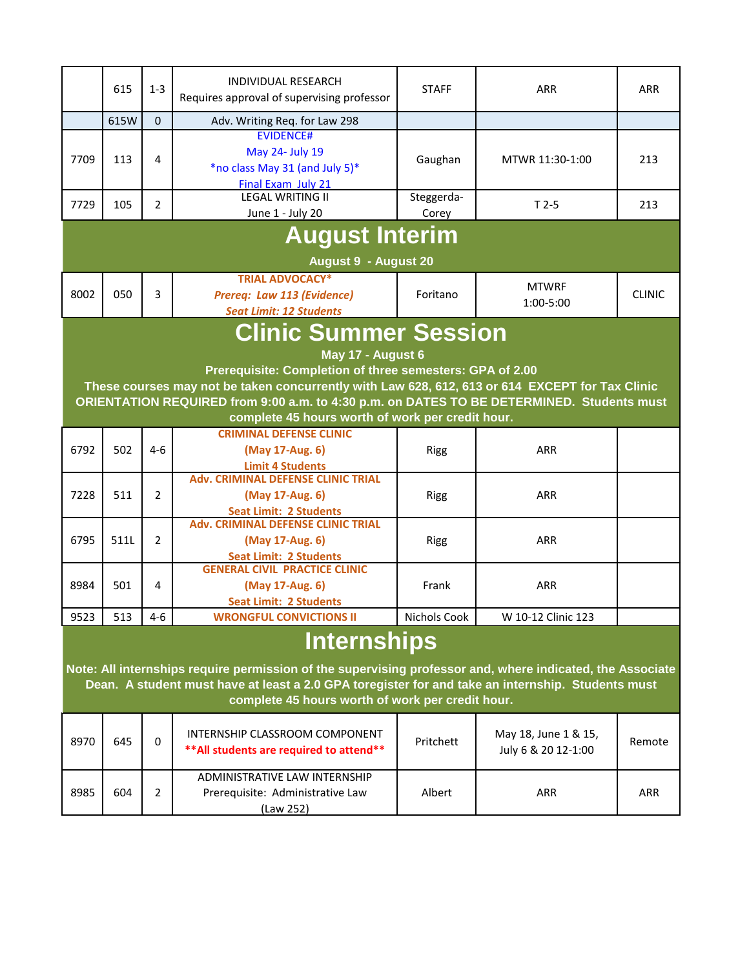|                                                                                                                                                                                                                | 615                | $1 - 3$        | INDIVIDUAL RESEARCH<br>Requires approval of supervising professor                                                                                           | <b>STAFF</b>        | <b>ARR</b>                | <b>ARR</b>    |  |  |
|----------------------------------------------------------------------------------------------------------------------------------------------------------------------------------------------------------------|--------------------|----------------|-------------------------------------------------------------------------------------------------------------------------------------------------------------|---------------------|---------------------------|---------------|--|--|
|                                                                                                                                                                                                                | 615W               | $\Omega$       | Adv. Writing Req. for Law 298                                                                                                                               |                     |                           |               |  |  |
| 7709                                                                                                                                                                                                           | 113                | 4              | <b>EVIDENCE#</b><br>May 24- July 19<br>*no class May 31 (and July 5)*<br>Final Exam July 21                                                                 | Gaughan             | MTWR 11:30-1:00           | 213           |  |  |
| 7729                                                                                                                                                                                                           | 105                | 2              | <b>LEGAL WRITING II</b><br>June 1 - July 20                                                                                                                 | Steggerda-<br>Corey | $T2-5$                    | 213           |  |  |
|                                                                                                                                                                                                                |                    |                | <b>August Interim</b>                                                                                                                                       |                     |                           |               |  |  |
|                                                                                                                                                                                                                |                    |                | <b>August 9 - August 20</b>                                                                                                                                 |                     |                           |               |  |  |
| 8002                                                                                                                                                                                                           | 050                | 3              | <b>TRIAL ADVOCACY*</b><br>Prereq: Law 113 (Evidence)<br><b>Seat Limit: 12 Students</b>                                                                      | Foritano            | <b>MTWRF</b><br>1:00-5:00 | <b>CLINIC</b> |  |  |
|                                                                                                                                                                                                                |                    |                |                                                                                                                                                             |                     |                           |               |  |  |
|                                                                                                                                                                                                                |                    |                | <b>Clinic Summer Session</b>                                                                                                                                |                     |                           |               |  |  |
|                                                                                                                                                                                                                |                    |                | May 17 - August 6                                                                                                                                           |                     |                           |               |  |  |
|                                                                                                                                                                                                                |                    |                | Prerequisite: Completion of three semesters: GPA of 2.00<br>These courses may not be taken concurrently with Law 628, 612, 613 or 614 EXCEPT for Tax Clinic |                     |                           |               |  |  |
|                                                                                                                                                                                                                |                    |                | ORIENTATION REQUIRED from 9:00 a.m. to 4:30 p.m. on DATES TO BE DETERMINED. Students must                                                                   |                     |                           |               |  |  |
|                                                                                                                                                                                                                |                    |                | complete 45 hours worth of work per credit hour.                                                                                                            |                     |                           |               |  |  |
|                                                                                                                                                                                                                |                    |                | <b>CRIMINAL DEFENSE CLINIC</b>                                                                                                                              |                     |                           |               |  |  |
| 6792                                                                                                                                                                                                           | 502                | $4 - 6$        | (May 17-Aug. 6)                                                                                                                                             | <b>Rigg</b>         | <b>ARR</b>                |               |  |  |
|                                                                                                                                                                                                                |                    |                | <b>Limit 4 Students</b>                                                                                                                                     |                     |                           |               |  |  |
|                                                                                                                                                                                                                |                    |                | <b>Adv. CRIMINAL DEFENSE CLINIC TRIAL</b>                                                                                                                   |                     |                           |               |  |  |
| 7228                                                                                                                                                                                                           | 511                | $\overline{2}$ | (May 17-Aug. 6)                                                                                                                                             | <b>Rigg</b>         | <b>ARR</b>                |               |  |  |
|                                                                                                                                                                                                                |                    |                | <b>Seat Limit: 2 Students</b><br><b>Adv. CRIMINAL DEFENSE CLINIC TRIAL</b>                                                                                  |                     |                           |               |  |  |
| 6795                                                                                                                                                                                                           | 511L               | 2              | (May 17-Aug. 6)                                                                                                                                             | <b>Rigg</b>         | <b>ARR</b>                |               |  |  |
|                                                                                                                                                                                                                |                    |                | <b>Seat Limit: 2 Students</b>                                                                                                                               |                     |                           |               |  |  |
|                                                                                                                                                                                                                |                    |                | <b>GENERAL CIVIL PRACTICE CLINIC</b>                                                                                                                        |                     |                           |               |  |  |
| 8984                                                                                                                                                                                                           | 501                | 4              | (May 17-Aug. 6)                                                                                                                                             | Frank               | <b>ARR</b>                |               |  |  |
|                                                                                                                                                                                                                |                    |                | <b>Seat Limit: 2 Students</b>                                                                                                                               |                     |                           |               |  |  |
| 9523                                                                                                                                                                                                           | 513                | $4 - 6$        | <b>WRONGFUL CONVICTIONS II</b>                                                                                                                              | Nichols Cook        | W 10-12 Clinic 123        |               |  |  |
|                                                                                                                                                                                                                | <b>Internships</b> |                |                                                                                                                                                             |                     |                           |               |  |  |
|                                                                                                                                                                                                                |                    |                |                                                                                                                                                             |                     |                           |               |  |  |
| Note: All internships require permission of the supervising professor and, where indicated, the Associate<br>Dean. A student must have at least a 2.0 GPA toregister for and take an internship. Students must |                    |                |                                                                                                                                                             |                     |                           |               |  |  |
| complete 45 hours worth of work per credit hour.                                                                                                                                                               |                    |                |                                                                                                                                                             |                     |                           |               |  |  |
|                                                                                                                                                                                                                |                    |                |                                                                                                                                                             |                     |                           |               |  |  |
| 8970                                                                                                                                                                                                           | 645                | 0              | <b>INTERNSHIP CLASSROOM COMPONENT</b>                                                                                                                       | Pritchett           | May 18, June 1 & 15,      | Remote        |  |  |
|                                                                                                                                                                                                                |                    |                | ** All students are required to attend**                                                                                                                    |                     | July 6 & 20 12-1:00       |               |  |  |
|                                                                                                                                                                                                                |                    |                | ADMINISTRATIVE LAW INTERNSHIP                                                                                                                               |                     |                           |               |  |  |
| 8985                                                                                                                                                                                                           | 604                | 2              | Prerequisite: Administrative Law                                                                                                                            | Albert              | <b>ARR</b>                | <b>ARR</b>    |  |  |
|                                                                                                                                                                                                                |                    |                | (Law 252)                                                                                                                                                   |                     |                           |               |  |  |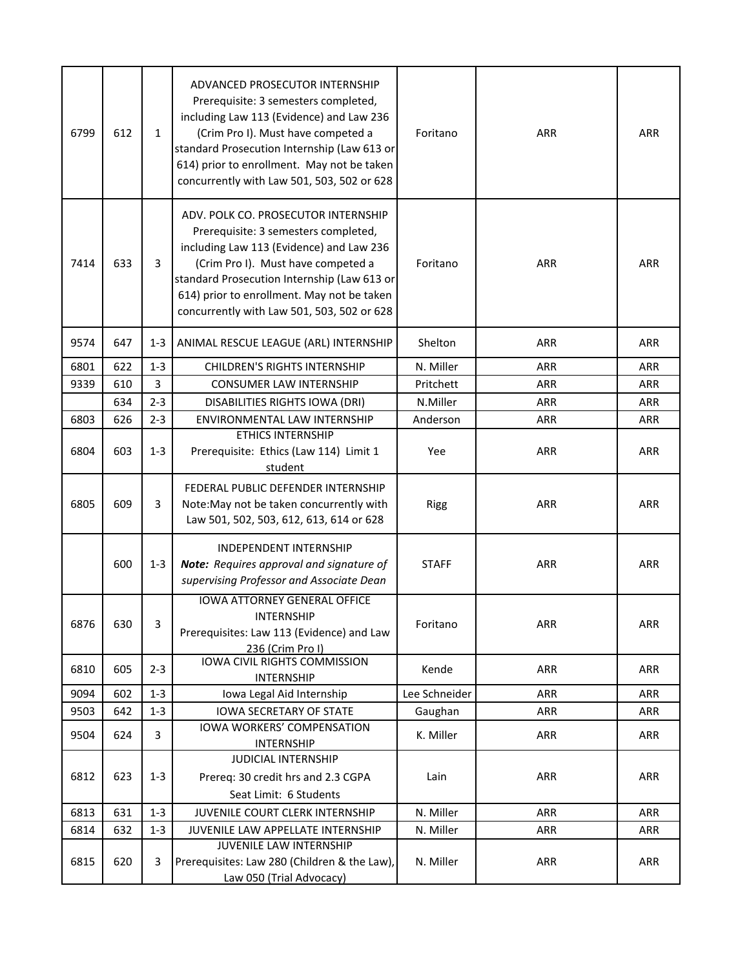| 6799 | 612 | $\mathbf{1}$ | ADVANCED PROSECUTOR INTERNSHIP<br>Prerequisite: 3 semesters completed,<br>including Law 113 (Evidence) and Law 236<br>(Crim Pro I). Must have competed a<br>standard Prosecution Internship (Law 613 or<br>614) prior to enrollment. May not be taken<br>concurrently with Law 501, 503, 502 or 628      | Foritano      | ARR        | <b>ARR</b> |
|------|-----|--------------|----------------------------------------------------------------------------------------------------------------------------------------------------------------------------------------------------------------------------------------------------------------------------------------------------------|---------------|------------|------------|
| 7414 | 633 | 3            | ADV. POLK CO. PROSECUTOR INTERNSHIP<br>Prerequisite: 3 semesters completed,<br>including Law 113 (Evidence) and Law 236<br>(Crim Pro I). Must have competed a<br>standard Prosecution Internship (Law 613 or<br>614) prior to enrollment. May not be taken<br>concurrently with Law 501, 503, 502 or 628 | Foritano      | <b>ARR</b> | <b>ARR</b> |
| 9574 | 647 | $1 - 3$      | ANIMAL RESCUE LEAGUE (ARL) INTERNSHIP                                                                                                                                                                                                                                                                    | Shelton       | ARR        | ARR        |
| 6801 | 622 | $1 - 3$      | <b>CHILDREN'S RIGHTS INTERNSHIP</b>                                                                                                                                                                                                                                                                      | N. Miller     | <b>ARR</b> | ARR        |
| 9339 | 610 | 3            | <b>CONSUMER LAW INTERNSHIP</b>                                                                                                                                                                                                                                                                           | Pritchett     | ARR        | <b>ARR</b> |
|      | 634 | $2 - 3$      | DISABILITIES RIGHTS IOWA (DRI)                                                                                                                                                                                                                                                                           | N.Miller      | <b>ARR</b> | <b>ARR</b> |
| 6803 | 626 | $2 - 3$      | ENVIRONMENTAL LAW INTERNSHIP                                                                                                                                                                                                                                                                             | Anderson      | <b>ARR</b> | <b>ARR</b> |
| 6804 | 603 | $1 - 3$      | <b>ETHICS INTERNSHIP</b><br>Prerequisite: Ethics (Law 114) Limit 1<br>student                                                                                                                                                                                                                            | Yee           | <b>ARR</b> | <b>ARR</b> |
| 6805 | 609 | 3            | FEDERAL PUBLIC DEFENDER INTERNSHIP<br>Note: May not be taken concurrently with<br>Law 501, 502, 503, 612, 613, 614 or 628                                                                                                                                                                                | <b>Rigg</b>   | <b>ARR</b> | <b>ARR</b> |
|      | 600 | $1 - 3$      | <b>INDEPENDENT INTERNSHIP</b><br><b>Note:</b> Requires approval and signature of<br>supervising Professor and Associate Dean                                                                                                                                                                             | <b>STAFF</b>  | <b>ARR</b> | ARR        |
| 6876 | 630 | 3            | <b>IOWA ATTORNEY GENERAL OFFICE</b><br>INTERNSHIP<br>Prerequisites: Law 113 (Evidence) and Law<br>236 (Crim Pro I)                                                                                                                                                                                       | Foritano      | ARR        | ARR        |
| 6810 | 605 | $2 - 3$      | IOWA CIVIL RIGHTS COMMISSION<br><b>INTERNSHIP</b>                                                                                                                                                                                                                                                        | Kende         | <b>ARR</b> | <b>ARR</b> |
| 9094 | 602 | $1 - 3$      | Iowa Legal Aid Internship                                                                                                                                                                                                                                                                                | Lee Schneider | <b>ARR</b> | <b>ARR</b> |
| 9503 | 642 | $1 - 3$      | <b>IOWA SECRETARY OF STATE</b>                                                                                                                                                                                                                                                                           | Gaughan       | <b>ARR</b> | <b>ARR</b> |
| 9504 | 624 | 3            | IOWA WORKERS' COMPENSATION<br><b>INTERNSHIP</b>                                                                                                                                                                                                                                                          | K. Miller     | ARR        | ARR        |
| 6812 | 623 | $1 - 3$      | <b>JUDICIAL INTERNSHIP</b><br>Prereq: 30 credit hrs and 2.3 CGPA<br>Seat Limit: 6 Students                                                                                                                                                                                                               | Lain          | ARR        | <b>ARR</b> |
| 6813 | 631 | $1 - 3$      | JUVENILE COURT CLERK INTERNSHIP                                                                                                                                                                                                                                                                          | N. Miller     | ARR        | <b>ARR</b> |
| 6814 | 632 | $1 - 3$      | JUVENILE LAW APPELLATE INTERNSHIP                                                                                                                                                                                                                                                                        | N. Miller     | ARR        | <b>ARR</b> |
| 6815 | 620 | 3            | JUVENILE LAW INTERNSHIP<br>Prerequisites: Law 280 (Children & the Law),<br>Law 050 (Trial Advocacy)                                                                                                                                                                                                      | N. Miller     | ARR        | ARR        |